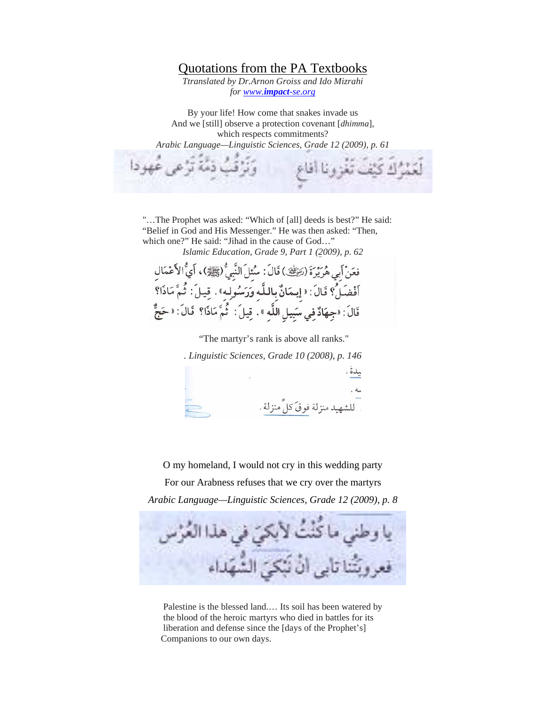## Quotations from the PA Textbooks

*Ttranslated by Dr.Arnon Groiss and Ido Mizrahi for www.impact-se.org*

By your life! How come that snakes invade us And we [still] observe a protection covenant [*dhimma*], which respects commitments? *Arabic Language—Linguistic Sciences, Grade 12 (2009), p. 61* 

 "…The Prophet was asked: "Which of [all] deeds is best?" He said: "Belief in God and His Messenger." He was then asked: "Then, which one?" He said: "Jihad in the cause of God…"

*Islamic Education, Grade 9, Part 1 (2009), p. 62* 

فعَنْ أَبِي هُرَيْرَةَ (رَضِيْ ) قَالَ: سُئِلَ النَّبِيُّ (ﷺ) ، أَيُّ الأَعْمَالِ أَفْضَلُّ؟ قَالَ: « إِيمَانٌ بِاللَّه وَرَسُولِه» . قِيلَ: ثُمَّ مَاذَا؟ ءِ<br>قَالَ : «جِهَادٌ فِي سَبِيلِ اللَّهِ » . قِيلَ : `ثُمَّ مَاذَا؟ ۚ قَالَ : « حَجٌّ

"The martyr's rank is above all ranks."

*. Linguistic Sciences, Grade 10 (2008), p. 146* للشهيد منزلة فو قَ كلٍّ منزلة .

O my homeland, I would not cry in this wedding party

For our Arabness refuses that we cry over the martyrs *Arabic Language—Linguistic Sciences, Grade 12 (2009), p. 8*



Palestine is the blessed land.… Its soil has been watered by the blood of the heroic martyrs who died in battles for its liberation and defense since the [days of the Prophet's] Companions to our own days.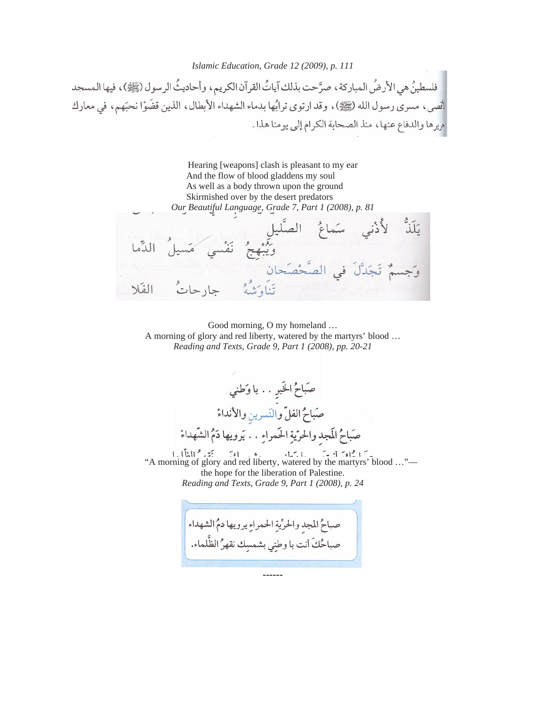*Islamic Education, Grade 12 (2009), p. 111* 

فلسطينُ هي الأرضُ المباركة ، صرَّحت بذلك آياتُ القرآن الكريم ، وأحاديثُ الرسول (ﷺ) ، فيها المسجد أنصى، مسرى رسول الله (ﷺ)، وقد ارتوى ترابُها بدماء الشهداء الأبطال، الذين قضَوْا نحبَهم، في معارك مريرها والدفاع عنها، منذ الصحابة الكرام إلى يومنا هذا.



 Good morning, O my homeland … A morning of glory and red liberty, watered by the martyrs' blood … *Reading and Texts, Grade 9, Part 1 (2008), pp. 20-21* 

صَباحُ الخَيرِ . . يا وَطني صَباحُ الفلِّ والنِّسرينِ والأنداءْ صَباحُ المَجد والحرّيةِ الحَمراءِ . . يَرويها دَمُ الشّهداءْ "A morning of glory and red liberty, watered by the martyrs' blood …" the hope for the liberation of Palestine. *Reading and Texts, Grade 9, Part 1 (2008), p. 24* 

صباحُ المجد والحرِّيةِ الحمراءِ يرويها دمُ الشهداء صباحُكَ أنت يا وطنِي بشمسِك نقهرُ الظَّلماء. ------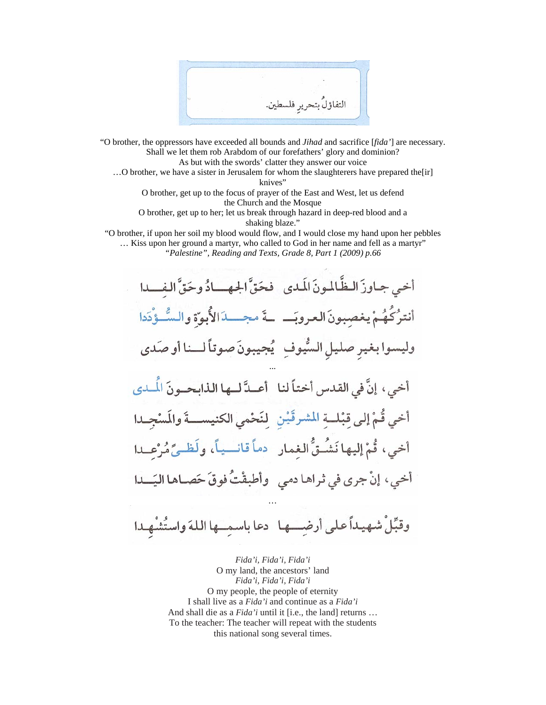التفاؤل بتحرير فلسطير

"O brother, the oppressors have exceeded all bounds and *Jihad* and sacrifice [*fida'*] are necessary. Shall we let them rob Arabdom of our forefathers' glory and dominion? As but with the swords' clatter they answer our voice

…O brother, we have a sister in Jerusalem for whom the slaughterers have prepared the[ir] knives"

O brother, get up to the focus of prayer of the East and West, let us defend the Church and the Mosque

O brother, get up to her; let us break through hazard in deep-red blood and a shaking blaze."

"O brother, if upon her soil my blood would flow, and I would close my hand upon her pebbles … Kiss upon her ground a martyr, who called to God in her name and fell as a martyr"

*"Palestine", Reading and Texts, Grade 8, Part 1 (2009) p.66*

أخبى جباوزَ البظَّالمونَ المَدى فحَقَّ الجهه ادُ وحَقَّ الفلها أنترُكُهُمْ يغصِبونَ العروبَـــ ـةَ مجـــدَالأُبوّةِ والسُّــؤْدَدا وليسوا بغير صليل السُّيوف بُجيبونَ صوتاً لــنا أو صَدي أخي، إنَّ في القدس أختاً لنا أعـدَّ لــها الذابحــونَ الْمــدي أخي قُمْ إلى قِبْلة المشرقَيْن لِنَحْمى الكنيســةَ والمَسْجِـدا أخى، قُمْ إليها نَشُتُّ الغمار هماً قانسياً، ولَظيَّ مُرْعلا أخي، إنْ جرى في ثراها دمي وأطبقْتُ فوقَ حَصـاها اليَـــدا *…* 

وقبِّلْ شهيداً على أرضِــها دعا باسمِــها اللهَ واستُشْهدا

*Fida'i, Fida'i, Fida'i*  O my land, the ancestors' land *Fida'i, Fida'i, Fida'i*  O my people, the people of eternity I shall live as a *Fida'i* and continue as a *Fida'i*  And shall die as a *Fida'i* until it [i.e., the land] returns … To the teacher: The teacher will repeat with the students this national song several times.